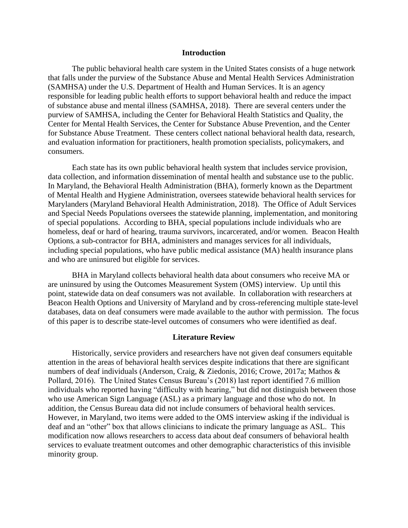#### **Introduction**

The public behavioral health care system in the United States consists of a huge network that falls under the purview of the Substance Abuse and Mental Health Services Administration (SAMHSA) under the U.S. Department of Health and Human Services. It is an agency responsible for leading public health efforts to support behavioral health and reduce the impact of substance abuse and mental illness (SAMHSA, 2018). There are several centers under the purview of SAMHSA, including the Center for Behavioral Health Statistics and Quality, the Center for Mental Health Services, the Center for Substance Abuse Prevention, and the Center for Substance Abuse Treatment. These centers collect national behavioral health data, research, and evaluation information for practitioners, health promotion specialists, policymakers, and consumers.

Each state has its own public behavioral health system that includes service provision, data collection, and information dissemination of mental health and substance use to the public. In Maryland, the Behavioral Health Administration (BHA), formerly known as the Department of Mental Health and Hygiene Administration, oversees statewide behavioral health services for Marylanders (Maryland Behavioral Health Administration, 2018). The Office of Adult Services and Special Needs Populations oversees the statewide planning, implementation, and monitoring of special populations. According to BHA, special populations include individuals who are homeless, deaf or hard of hearing, trauma survivors, incarcerated, and/or women. Beacon Health Options, a sub-contractor for BHA, administers and manages services for all individuals, including special populations, who have public medical assistance (MA) health insurance plans and who are uninsured but eligible for services.

BHA in Maryland collects behavioral health data about consumers who receive MA or are uninsured by using the Outcomes Measurement System (OMS) interview. Up until this point, statewide data on deaf consumers was not available. In collaboration with researchers at Beacon Health Options and University of Maryland and by cross-referencing multiple state-level databases, data on deaf consumers were made available to the author with permission. The focus of this paper is to describe state-level outcomes of consumers who were identified as deaf.

#### **Literature Review**

Historically, service providers and researchers have not given deaf consumers equitable attention in the areas of behavioral health services despite indications that there are significant numbers of deaf individuals (Anderson, Craig, & Ziedonis, 2016; Crowe, 2017a; Mathos & Pollard, 2016). The United States Census Bureau's (2018) last report identified 7.6 million individuals who reported having "difficulty with hearing," but did not distinguish between those who use American Sign Language (ASL) as a primary language and those who do not. In addition, the Census Bureau data did not include consumers of behavioral health services. However, in Maryland, two items were added to the OMS interview asking if the individual is deaf and an "other" box that allows clinicians to indicate the primary language as ASL. This modification now allows researchers to access data about deaf consumers of behavioral health services to evaluate treatment outcomes and other demographic characteristics of this invisible minority group.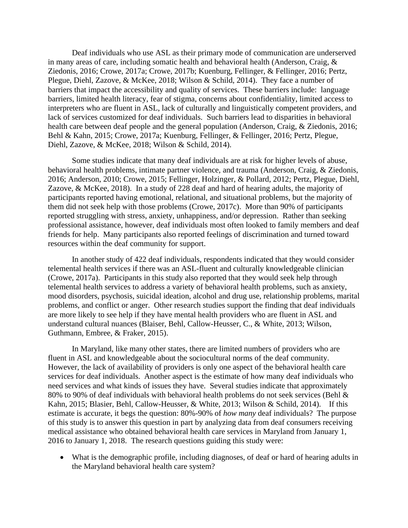Deaf individuals who use ASL as their primary mode of communication are underserved in many areas of care, including somatic health and behavioral health (Anderson, Craig, & Ziedonis, 2016; Crowe, 2017a; Crowe, 2017b; Kuenburg, Fellinger, & Fellinger, 2016; Pertz, Plegue, Diehl, Zazove, & McKee, 2018; Wilson & Schild, 2014). They face a number of barriers that impact the accessibility and quality of services. These barriers include: language barriers, limited health literacy, fear of stigma, concerns about confidentiality, limited access to interpreters who are fluent in ASL, lack of culturally and linguistically competent providers, and lack of services customized for deaf individuals. Such barriers lead to disparities in behavioral health care between deaf people and the general population (Anderson, Craig, & Ziedonis, 2016; Behl & Kahn, 2015; Crowe, 2017a; Kuenburg, Fellinger, & Fellinger, 2016; Pertz, Plegue, Diehl, Zazove, & McKee, 2018; Wilson & Schild, 2014).

Some studies indicate that many deaf individuals are at risk for higher levels of abuse, behavioral health problems, intimate partner violence, and trauma (Anderson, Craig, & Ziedonis, 2016; Anderson, 2010; Crowe, 2015; Fellinger, Holzinger, & Pollard, 2012; Pertz, Plegue, Diehl, Zazove, & McKee, 2018). In a study of 228 deaf and hard of hearing adults, the majority of participants reported having emotional, relational, and situational problems, but the majority of them did not seek help with those problems (Crowe, 2017c). More than 90% of participants reported struggling with stress, anxiety, unhappiness, and/or depression. Rather than seeking professional assistance, however, deaf individuals most often looked to family members and deaf friends for help. Many participants also reported feelings of discrimination and turned toward resources within the deaf community for support.

In another study of 422 deaf individuals, respondents indicated that they would consider telemental health services if there was an ASL-fluent and culturally knowledgeable clinician (Crowe, 2017a). Participants in this study also reported that they would seek help through telemental health services to address a variety of behavioral health problems, such as anxiety, mood disorders, psychosis, suicidal ideation, alcohol and drug use, relationship problems, marital problems, and conflict or anger. Other research studies support the finding that deaf individuals are more likely to see help if they have mental health providers who are fluent in ASL and understand cultural nuances (Blaiser, Behl, Callow-Heusser, C., & White, 2013; Wilson, Guthmann, Embree, & Fraker, 2015).

In Maryland, like many other states, there are limited numbers of providers who are fluent in ASL and knowledgeable about the sociocultural norms of the deaf community. However, the lack of availability of providers is only one aspect of the behavioral health care services for deaf individuals. Another aspect is the estimate of how many deaf individuals who need services and what kinds of issues they have. Several studies indicate that approximately 80% to 90% of deaf individuals with behavioral health problems do not seek services (Behl & Kahn, 2015; Blasier, Behl, Callow-Heusser, & White, 2013; Wilson & Schild, 2014). If this estimate is accurate, it begs the question: 80%-90% of *how many* deaf individuals? The purpose of this study is to answer this question in part by analyzing data from deaf consumers receiving medical assistance who obtained behavioral health care services in Maryland from January 1, 2016 to January 1, 2018. The research questions guiding this study were:

• What is the demographic profile, including diagnoses, of deaf or hard of hearing adults in the Maryland behavioral health care system?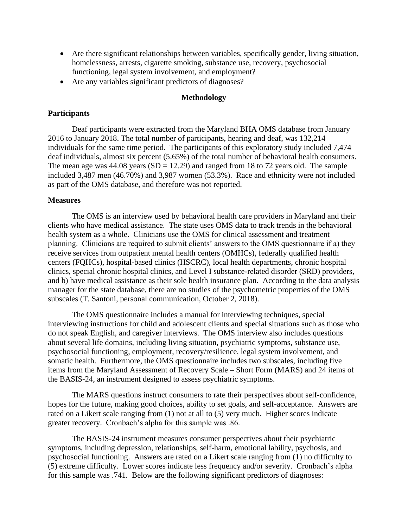- Are there significant relationships between variables, specifically gender, living situation, homelessness, arrests, cigarette smoking, substance use, recovery, psychosocial functioning, legal system involvement, and employment?
- Are any variables significant predictors of diagnoses?

#### **Methodology**

## **Participants**

Deaf participants were extracted from the Maryland BHA OMS database from January 2016 to January 2018. The total number of participants, hearing and deaf, was 132,214 individuals for the same time period. The participants of this exploratory study included 7,474 deaf individuals, almost six percent (5.65%) of the total number of behavioral health consumers. The mean age was  $44.08$  years  $(SD = 12.29)$  and ranged from 18 to 72 years old. The sample included 3,487 men (46.70%) and 3,987 women (53.3%). Race and ethnicity were not included as part of the OMS database, and therefore was not reported.

### **Measures**

The OMS is an interview used by behavioral health care providers in Maryland and their clients who have medical assistance. The state uses OMS data to track trends in the behavioral health system as a whole. Clinicians use the OMS for clinical assessment and treatment planning. Clinicians are required to submit clients' answers to the OMS questionnaire if a) they receive services from outpatient mental health centers (OMHCs), federally qualified health centers (FQHCs), hospital-based clinics (HSCRC), local health departments, chronic hospital clinics, special chronic hospital clinics, and Level I substance-related disorder (SRD) providers, and b) have medical assistance as their sole health insurance plan. According to the data analysis manager for the state database, there are no studies of the psychometric properties of the OMS subscales (T. Santoni, personal communication, October 2, 2018).

The OMS questionnaire includes a manual for interviewing techniques, special interviewing instructions for child and adolescent clients and special situations such as those who do not speak English, and caregiver interviews. The OMS interview also includes questions about several life domains, including living situation, psychiatric symptoms, substance use, psychosocial functioning, employment, recovery/resilience, legal system involvement, and somatic health. Furthermore, the OMS questionnaire includes two subscales, including five items from the Maryland Assessment of Recovery Scale – Short Form (MARS) and 24 items of the BASIS-24, an instrument designed to assess psychiatric symptoms.

The MARS questions instruct consumers to rate their perspectives about self-confidence, hopes for the future, making good choices, ability to set goals, and self-acceptance. Answers are rated on a Likert scale ranging from (1) not at all to (5) very much. Higher scores indicate greater recovery. Cronbach's alpha for this sample was .86.

The BASIS-24 instrument measures consumer perspectives about their psychiatric symptoms, including depression, relationships, self-harm, emotional lability, psychosis, and psychosocial functioning. Answers are rated on a Likert scale ranging from (1) no difficulty to (5) extreme difficulty. Lower scores indicate less frequency and/or severity. Cronbach's alpha for this sample was .741. Below are the following significant predictors of diagnoses: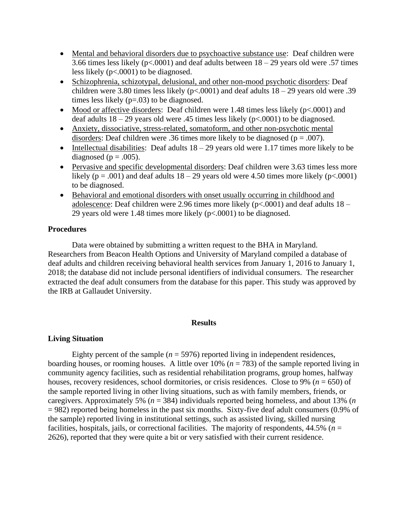- Mental and behavioral disorders due to psychoactive substance use: Deaf children were 3.66 times less likely ( $p < .0001$ ) and deaf adults between  $18 - 29$  years old were .57 times less likely (p<.0001) to be diagnosed.
- Schizophrenia, schizotypal, delusional, and other non-mood psychotic disorders: Deaf children were 3.80 times less likely ( $p<0.001$ ) and deaf adults  $18-29$  years old were .39 times less likely (p=.03) to be diagnosed.
- Mood or affective disorders: Deaf children were 1.48 times less likely (p<.0001) and deaf adults  $18 - 29$  years old were .45 times less likely ( $p \lt 0.0001$ ) to be diagnosed.
- Anxiety, dissociative, stress-related, somatoform, and other non-psychotic mental disorders: Deaf children were .36 times more likely to be diagnosed ( $p = .007$ ).
- Intellectual disabilities: Deaf adults  $18 29$  years old were 1.17 times more likely to be diagnosed ( $p = .005$ ).
- Pervasive and specific developmental disorders: Deaf children were 3.63 times less more likely ( $p = .001$ ) and deaf adults  $18 - 29$  years old were 4.50 times more likely ( $p < .0001$ ) to be diagnosed.
- Behavioral and emotional disorders with onset usually occurring in childhood and adolescence: Deaf children were 2.96 times more likely ( $p<.0001$ ) and deaf adults  $18 -$ 29 years old were 1.48 times more likely (p<.0001) to be diagnosed.

### **Procedures**

Data were obtained by submitting a written request to the BHA in Maryland. Researchers from Beacon Health Options and University of Maryland compiled a database of deaf adults and children receiving behavioral health services from January 1, 2016 to January 1, 2018; the database did not include personal identifiers of individual consumers. The researcher extracted the deaf adult consumers from the database for this paper. This study was approved by the IRB at Gallaudet University.

#### **Results**

#### **Living Situation**

Eighty percent of the sample  $(n = 5976)$  reported living in independent residences, boarding houses, or rooming houses. A little over  $10\%$  ( $n = 783$ ) of the sample reported living in community agency facilities, such as residential rehabilitation programs, group homes, halfway houses, recovery residences, school dormitories, or crisis residences. Close to 9% (*n* = 650) of the sample reported living in other living situations, such as with family members, friends, or caregivers. Approximately 5% (*n* = 384) individuals reported being homeless, and about 13% (*n* = 982) reported being homeless in the past six months. Sixty-five deaf adult consumers (0.9% of the sample) reported living in institutional settings, such as assisted living, skilled nursing facilities, hospitals, jails, or correctional facilities. The majority of respondents,  $44.5\%$  ( $n =$ 2626), reported that they were quite a bit or very satisfied with their current residence.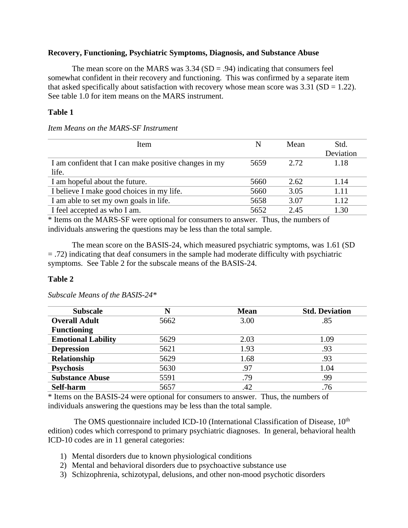## **Recovery, Functioning, Psychiatric Symptoms, Diagnosis, and Substance Abuse**

The mean score on the MARS was  $3.34$  (SD = .94) indicating that consumers feel somewhat confident in their recovery and functioning. This was confirmed by a separate item that asked specifically about satisfaction with recovery whose mean score was  $3.31$  (SD = 1.22). See table 1.0 for item means on the MARS instrument.

# **Table 1**

*Item Means on the MARS-SF Instrument*

| Item                                                  | N    | Mean  | Std.      |
|-------------------------------------------------------|------|-------|-----------|
|                                                       |      |       | Deviation |
| I am confident that I can make positive changes in my | 5659 | 2.72. | 1.18      |
| life.                                                 |      |       |           |
| I am hopeful about the future.                        | 5660 | 2.62  | 1.14      |
| I believe I make good choices in my life.             | 5660 | 3.05  | 1.11      |
| I am able to set my own goals in life.                | 5658 | 3.07  | 1.12      |
| I feel accepted as who I am.                          | 5652 | 2.45  | 1.30      |
|                                                       |      |       |           |

\* Items on the MARS-SF were optional for consumers to answer. Thus, the numbers of individuals answering the questions may be less than the total sample.

The mean score on the BASIS-24, which measured psychiatric symptoms, was 1.61 (SD = .72) indicating that deaf consumers in the sample had moderate difficulty with psychiatric symptoms. See Table 2 for the subscale means of the BASIS-24.

# **Table 2**

| <b>Subscale</b>           | N    | <b>Mean</b> | <b>Std. Deviation</b> |
|---------------------------|------|-------------|-----------------------|
| <b>Overall Adult</b>      | 5662 | 3.00        | .85                   |
| <b>Functioning</b>        |      |             |                       |
| <b>Emotional Lability</b> | 5629 | 2.03        | 1.09                  |
| <b>Depression</b>         | 5621 | 1.93        | .93                   |
| <b>Relationship</b>       | 5629 | 1.68        | .93                   |
| <b>Psychosis</b>          | 5630 | .97         | 1.04                  |
| <b>Substance Abuse</b>    | 5591 | .79         | .99                   |
| Self-harm                 | 5657 | .42         | .76                   |

*Subscale Means of the BASIS-24\**

\* Items on the BASIS-24 were optional for consumers to answer. Thus, the numbers of individuals answering the questions may be less than the total sample.

The OMS questionnaire included ICD-10 (International Classification of Disease,  $10<sup>th</sup>$ edition) codes which correspond to primary psychiatric diagnoses. In general, behavioral health ICD-10 codes are in 11 general categories:

- 1) Mental disorders due to known physiological conditions
- 2) Mental and behavioral disorders due to psychoactive substance use
- 3) Schizophrenia, schizotypal, delusions, and other non-mood psychotic disorders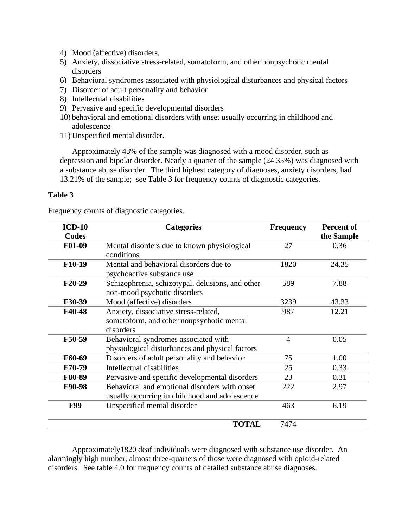- 4) Mood (affective) disorders,
- 5) Anxiety, dissociative stress-related, somatoform, and other nonpsychotic mental disorders
- 6) Behavioral syndromes associated with physiological disturbances and physical factors
- 7) Disorder of adult personality and behavior
- 8) Intellectual disabilities
- 9) Pervasive and specific developmental disorders
- 10) behavioral and emotional disorders with onset usually occurring in childhood and adolescence
- 11) Unspecified mental disorder.

Approximately 43% of the sample was diagnosed with a mood disorder, such as depression and bipolar disorder. Nearly a quarter of the sample (24.35%) was diagnosed with a substance abuse disorder. The third highest category of diagnoses, anxiety disorders, had 13.21% of the sample; see Table 3 for frequency counts of diagnostic categories.

# **Table 3**

Frequency counts of diagnostic categories.

| $ICD-10$<br>Codes   | <b>Categories</b>                                                                               | <b>Frequency</b> | <b>Percent of</b><br>the Sample |
|---------------------|-------------------------------------------------------------------------------------------------|------------------|---------------------------------|
| F01-09              | Mental disorders due to known physiological<br>conditions                                       | 27               | 0.36                            |
| F10-19              | Mental and behavioral disorders due to<br>psychoactive substance use                            | 1820             | 24.35                           |
| F <sub>20</sub> -29 | Schizophrenia, schizotypal, delusions, and other<br>non-mood psychotic disorders                | 589              | 7.88                            |
| F30-39              | Mood (affective) disorders                                                                      | 3239             | 43.33                           |
| F40-48              | Anxiety, dissociative stress-related,<br>somatoform, and other nonpsychotic mental<br>disorders | 987              | 12.21                           |
| F50-59              | Behavioral syndromes associated with<br>physiological disturbances and physical factors         | $\overline{4}$   | 0.05                            |
| F60-69              | Disorders of adult personality and behavior                                                     | 75               | 1.00                            |
| F70-79              | Intellectual disabilities                                                                       | 25               | 0.33                            |
| F80-89              | Pervasive and specific developmental disorders                                                  | 23               | 0.31                            |
| F90-98              | Behavioral and emotional disorders with onset<br>usually occurring in childhood and adolescence | 222              | 2.97                            |
| <b>F99</b>          | Unspecified mental disorder                                                                     | 463              | 6.19                            |
|                     | <b>TOTAL</b>                                                                                    | 7474             |                                 |

Approximately1820 deaf individuals were diagnosed with substance use disorder. An alarmingly high number, almost three-quarters of those were diagnosed with opioid-related disorders. See table 4.0 for frequency counts of detailed substance abuse diagnoses.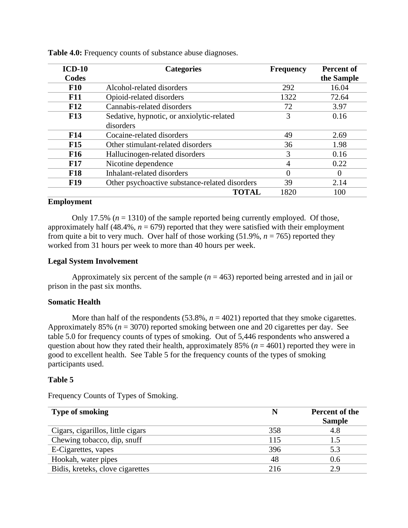| $ICD-10$   | <b>Categories</b>                              | <b>Frequency</b> | Percent of |
|------------|------------------------------------------------|------------------|------------|
| Codes      |                                                |                  | the Sample |
| <b>F10</b> | Alcohol-related disorders                      | 292              | 16.04      |
| <b>F11</b> | Opioid-related disorders                       | 1322             | 72.64      |
| F12        | Cannabis-related disorders                     | 72               | 3.97       |
| <b>F13</b> | Sedative, hypnotic, or anxiolytic-related      | 3                | 0.16       |
|            | disorders                                      |                  |            |
| <b>F14</b> | Cocaine-related disorders                      | 49               | 2.69       |
| F15        | Other stimulant-related disorders              | 36               | 1.98       |
| <b>F16</b> | Hallucinogen-related disorders                 | 3                | 0.16       |
| <b>F17</b> | Nicotine dependence                            | 4                | 0.22       |
| <b>F18</b> | Inhalant-related disorders                     | $\theta$         | $\Omega$   |
| <b>F19</b> | Other psychoactive substance-related disorders | 39               | 2.14       |
|            | <b>TOTAL</b>                                   | 1820             | 100        |

**Table 4.0:** Frequency counts of substance abuse diagnoses.

### **Employment**

Only 17.5%  $(n = 1310)$  of the sample reported being currently employed. Of those, approximately half  $(48.4\%, n = 679)$  reported that they were satisfied with their employment from quite a bit to very much. Over half of those working  $(51.9\%, n = 765)$  reported they worked from 31 hours per week to more than 40 hours per week.

### **Legal System Involvement**

Approximately six percent of the sample  $(n = 463)$  reported being arrested and in jail or prison in the past six months.

### **Somatic Health**

More than half of the respondents  $(53.8\%, n = 4021)$  reported that they smoke cigarettes. Approximately 85% (*n* = 3070) reported smoking between one and 20 cigarettes per day. See table 5.0 for frequency counts of types of smoking. Out of 5,446 respondents who answered a question about how they rated their health, approximately 85% ( $n = 4601$ ) reported they were in good to excellent health. See Table 5 for the frequency counts of the types of smoking participants used.

#### **Table 5**

Frequency Counts of Types of Smoking.

| <b>Type of smoking</b>            |     | <b>Percent of the</b><br><b>Sample</b> |
|-----------------------------------|-----|----------------------------------------|
| Cigars, cigarillos, little cigars | 358 | 4.8                                    |
| Chewing tobacco, dip, snuff       | 115 |                                        |
| E-Cigarettes, vapes               | 396 | 5.3                                    |
| Hookah, water pipes               | 48  | 0.6                                    |
| Bidis, kreteks, clove cigarettes  | 216 | 2.9                                    |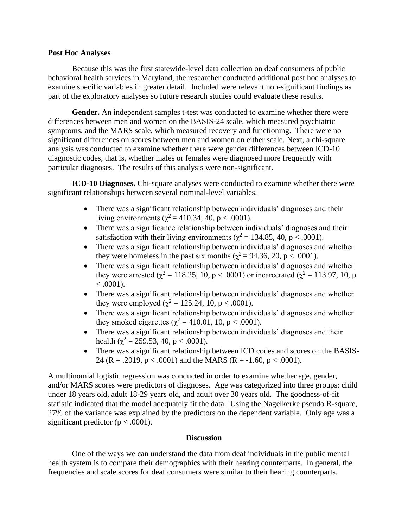### **Post Hoc Analyses**

Because this was the first statewide-level data collection on deaf consumers of public behavioral health services in Maryland, the researcher conducted additional post hoc analyses to examine specific variables in greater detail. Included were relevant non-significant findings as part of the exploratory analyses so future research studies could evaluate these results.

**Gender.** An independent samples t-test was conducted to examine whether there were differences between men and women on the BASIS-24 scale, which measured psychiatric symptoms, and the MARS scale, which measured recovery and functioning. There were no significant differences on scores between men and women on either scale. Next, a chi-square analysis was conducted to examine whether there were gender differences between ICD-10 diagnostic codes, that is, whether males or females were diagnosed more frequently with particular diagnoses. The results of this analysis were non-significant.

**ICD-10 Diagnoses.** Chi-square analyses were conducted to examine whether there were significant relationships between several nominal-level variables.

- There was a significant relationship between individuals' diagnoses and their living environments ( $\chi^2$  = 410.34, 40, p < .0001).
- There was a significance relationship between individuals' diagnoses and their satisfaction with their living environments ( $\chi^2 = 134.85, 40, p < .0001$ ).
- There was a significant relationship between individuals' diagnoses and whether they were homeless in the past six months ( $\chi^2$  = 94.36, 20, p < .0001).
- There was a significant relationship between individuals' diagnoses and whether they were arrested ( $\chi^2 = 118.25, 10, p < .0001$ ) or incarcerated ( $\chi^2 = 113.97, 10, p$  $< .0001$ ).
- There was a significant relationship between individuals' diagnoses and whether they were employed ( $\chi^2$  = 125.24, 10, p < .0001).
- There was a significant relationship between individuals' diagnoses and whether they smoked cigarettes ( $\chi^2 = 410.01$ , 10, p < .0001).
- There was a significant relationship between individuals' diagnoses and their health ( $\chi^2$  = 259.53, 40, p < .0001).
- There was a significant relationship between ICD codes and scores on the BASIS-24 (R = .2019,  $p < .0001$ ) and the MARS (R = -1.60,  $p < .0001$ ).

A multinomial logistic regression was conducted in order to examine whether age, gender, and/or MARS scores were predictors of diagnoses. Age was categorized into three groups: child under 18 years old, adult 18-29 years old, and adult over 30 years old. The goodness-of-fit statistic indicated that the model adequately fit the data. Using the Nagelkerke pseudo R-square, 27% of the variance was explained by the predictors on the dependent variable. Only age was a significant predictor ( $p < .0001$ ).

# **Discussion**

One of the ways we can understand the data from deaf individuals in the public mental health system is to compare their demographics with their hearing counterparts. In general, the frequencies and scale scores for deaf consumers were similar to their hearing counterparts.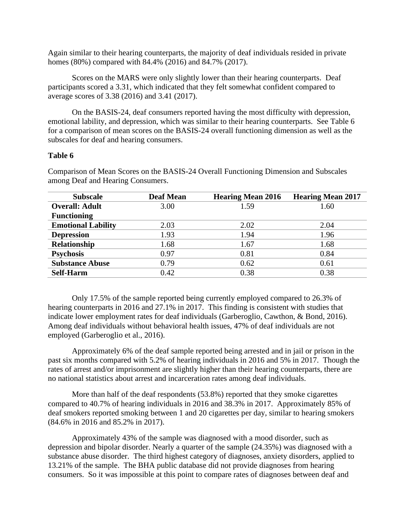Again similar to their hearing counterparts, the majority of deaf individuals resided in private homes (80%) compared with 84.4% (2016) and 84.7% (2017).

Scores on the MARS were only slightly lower than their hearing counterparts. Deaf participants scored a 3.31, which indicated that they felt somewhat confident compared to average scores of 3.38 (2016) and 3.41 (2017).

On the BASIS-24, deaf consumers reported having the most difficulty with depression, emotional lability, and depression, which was similar to their hearing counterparts. See Table 6 for a comparison of mean scores on the BASIS-24 overall functioning dimension as well as the subscales for deaf and hearing consumers.

#### **Table 6**

| <b>Subscale</b>           | <b>Deaf Mean</b> | <b>Hearing Mean 2016</b> | <b>Hearing Mean 2017</b> |
|---------------------------|------------------|--------------------------|--------------------------|
| <b>Overall: Adult</b>     | 3.00             | 1.59                     | 1.60                     |
| <b>Functioning</b>        |                  |                          |                          |
| <b>Emotional Lability</b> | 2.03             | 2.02                     | 2.04                     |
| <b>Depression</b>         | 1.93             | 1.94                     | 1.96                     |
| <b>Relationship</b>       | 1.68             | 1.67                     | 1.68                     |
| <b>Psychosis</b>          | 0.97             | 0.81                     | 0.84                     |
| <b>Substance Abuse</b>    | 0.79             | 0.62                     | 0.61                     |
| <b>Self-Harm</b>          | 0.42             | 0.38                     | 0.38                     |

Comparison of Mean Scores on the BASIS-24 Overall Functioning Dimension and Subscales among Deaf and Hearing Consumers.

Only 17.5% of the sample reported being currently employed compared to 26.3% of hearing counterparts in 2016 and 27.1% in 2017. This finding is consistent with studies that indicate lower employment rates for deaf individuals (Garberoglio, Cawthon, & Bond, 2016). Among deaf individuals without behavioral health issues, 47% of deaf individuals are not employed (Garberoglio et al., 2016).

Approximately 6% of the deaf sample reported being arrested and in jail or prison in the past six months compared with 5.2% of hearing individuals in 2016 and 5% in 2017. Though the rates of arrest and/or imprisonment are slightly higher than their hearing counterparts, there are no national statistics about arrest and incarceration rates among deaf individuals.

More than half of the deaf respondents (53.8%) reported that they smoke cigarettes compared to 40.7% of hearing individuals in 2016 and 38.3% in 2017. Approximately 85% of deaf smokers reported smoking between 1 and 20 cigarettes per day, similar to hearing smokers (84.6% in 2016 and 85.2% in 2017).

Approximately 43% of the sample was diagnosed with a mood disorder, such as depression and bipolar disorder. Nearly a quarter of the sample (24.35%) was diagnosed with a substance abuse disorder. The third highest category of diagnoses, anxiety disorders, applied to 13.21% of the sample. The BHA public database did not provide diagnoses from hearing consumers. So it was impossible at this point to compare rates of diagnoses between deaf and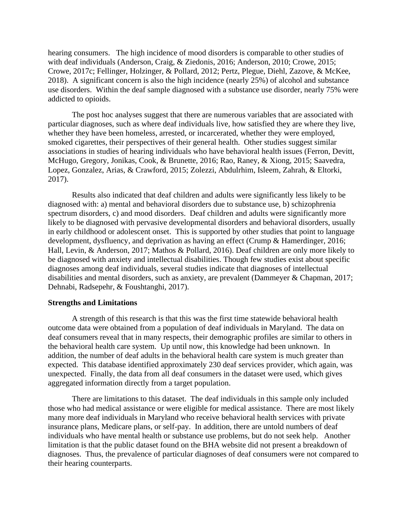hearing consumers. The high incidence of mood disorders is comparable to other studies of with deaf individuals (Anderson, Craig, & Ziedonis, 2016; Anderson, 2010; Crowe, 2015; Crowe, 2017c; Fellinger, Holzinger, & Pollard, 2012; Pertz, Plegue, Diehl, Zazove, & McKee, 2018). A significant concern is also the high incidence (nearly 25%) of alcohol and substance use disorders. Within the deaf sample diagnosed with a substance use disorder, nearly 75% were addicted to opioids.

The post hoc analyses suggest that there are numerous variables that are associated with particular diagnoses, such as where deaf individuals live, how satisfied they are where they live, whether they have been homeless, arrested, or incarcerated, whether they were employed, smoked cigarettes, their perspectives of their general health. Other studies suggest similar associations in studies of hearing individuals who have behavioral health issues (Ferron, Devitt, McHugo, Gregory, Jonikas, Cook, & Brunette, 2016; Rao, Raney, & Xiong, 2015; Saavedra, Lopez, Gonzalez, Arias, & Crawford, 2015; Zolezzi, Abdulrhim, Isleem, Zahrah, & Eltorki, 2017).

Results also indicated that deaf children and adults were significantly less likely to be diagnosed with: a) mental and behavioral disorders due to substance use, b) schizophrenia spectrum disorders, c) and mood disorders. Deaf children and adults were significantly more likely to be diagnosed with pervasive developmental disorders and behavioral disorders, usually in early childhood or adolescent onset. This is supported by other studies that point to language development, dysfluency, and deprivation as having an effect (Crump & Hamerdinger, 2016; Hall, Levin, & Anderson, 2017; Mathos & Pollard, 2016). Deaf children are only more likely to be diagnosed with anxiety and intellectual disabilities. Though few studies exist about specific diagnoses among deaf individuals, several studies indicate that diagnoses of intellectual disabilities and mental disorders, such as anxiety, are prevalent (Dammeyer & Chapman, 2017; Dehnabi, Radsepehr, & Foushtanghi, 2017).

#### **Strengths and Limitations**

A strength of this research is that this was the first time statewide behavioral health outcome data were obtained from a population of deaf individuals in Maryland. The data on deaf consumers reveal that in many respects, their demographic profiles are similar to others in the behavioral health care system. Up until now, this knowledge had been unknown. In addition, the number of deaf adults in the behavioral health care system is much greater than expected. This database identified approximately 230 deaf services provider, which again, was unexpected. Finally, the data from all deaf consumers in the dataset were used, which gives aggregated information directly from a target population.

There are limitations to this dataset. The deaf individuals in this sample only included those who had medical assistance or were eligible for medical assistance. There are most likely many more deaf individuals in Maryland who receive behavioral health services with private insurance plans, Medicare plans, or self-pay. In addition, there are untold numbers of deaf individuals who have mental health or substance use problems, but do not seek help. Another limitation is that the public dataset found on the BHA website did not present a breakdown of diagnoses. Thus, the prevalence of particular diagnoses of deaf consumers were not compared to their hearing counterparts.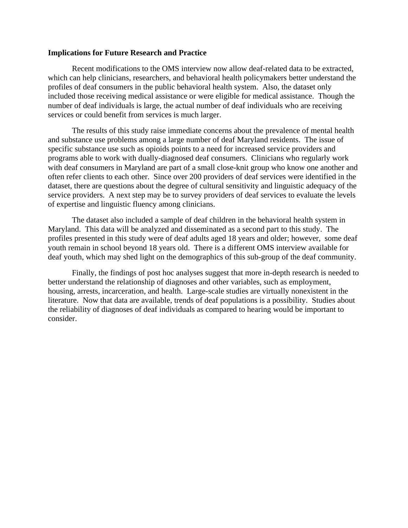#### **Implications for Future Research and Practice**

Recent modifications to the OMS interview now allow deaf-related data to be extracted, which can help clinicians, researchers, and behavioral health policymakers better understand the profiles of deaf consumers in the public behavioral health system. Also, the dataset only included those receiving medical assistance or were eligible for medical assistance. Though the number of deaf individuals is large, the actual number of deaf individuals who are receiving services or could benefit from services is much larger.

The results of this study raise immediate concerns about the prevalence of mental health and substance use problems among a large number of deaf Maryland residents. The issue of specific substance use such as opioids points to a need for increased service providers and programs able to work with dually-diagnosed deaf consumers. Clinicians who regularly work with deaf consumers in Maryland are part of a small close-knit group who know one another and often refer clients to each other. Since over 200 providers of deaf services were identified in the dataset, there are questions about the degree of cultural sensitivity and linguistic adequacy of the service providers. A next step may be to survey providers of deaf services to evaluate the levels of expertise and linguistic fluency among clinicians.

The dataset also included a sample of deaf children in the behavioral health system in Maryland. This data will be analyzed and disseminated as a second part to this study. The profiles presented in this study were of deaf adults aged 18 years and older; however, some deaf youth remain in school beyond 18 years old. There is a different OMS interview available for deaf youth, which may shed light on the demographics of this sub-group of the deaf community.

Finally, the findings of post hoc analyses suggest that more in-depth research is needed to better understand the relationship of diagnoses and other variables, such as employment, housing, arrests, incarceration, and health. Large-scale studies are virtually nonexistent in the literature. Now that data are available, trends of deaf populations is a possibility. Studies about the reliability of diagnoses of deaf individuals as compared to hearing would be important to consider.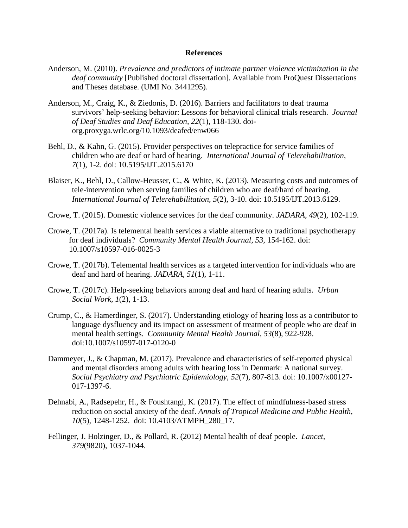#### **References**

- Anderson, M. (2010). *Prevalence and predictors of intimate partner violence victimization in the deaf community* [Published doctoral dissertation]. Available from ProQuest Dissertations and Theses database. (UMI No. 3441295).
- Anderson, M., Craig, K., & Ziedonis, D. (2016). Barriers and facilitators to deaf trauma survivors' help-seeking behavior: Lessons for behavioral clinical trials research. *Journal of Deaf Studies and Deaf Education, 22*(1), 118-130. doiorg.proxyga.wrlc.org/10.1093/deafed/enw066
- Behl, D., & Kahn, G. (2015). Provider perspectives on telepractice for service families of children who are deaf or hard of hearing. *International Journal of Telerehabilitation, 7*(1), 1-2. doi: 10.5195/IJT.2015.6170
- Blaiser, K., Behl, D., Callow-Heusser, C., & White, K. (2013). Measuring costs and outcomes of tele-intervention when serving families of children who are deaf/hard of hearing. *International Journal of Telerehabilitation, 5*(2), 3-10. doi: 10.5195/IJT.2013.6129.
- Crowe, T. (2015). Domestic violence services for the deaf community. *JADARA, 49*(2), 102-119.
- Crowe, T. (2017a). Is telemental health services a viable alternative to traditional psychotherapy for deaf individuals? *Community Mental Health Journal, 53,* 154-162. doi: 10.1007/s10597-016-0025-3
- Crowe, T. (2017b). Telemental health services as a targeted intervention for individuals who are deaf and hard of hearing. *JADARA, 51*(1), 1-11.
- Crowe, T. (2017c). Help-seeking behaviors among deaf and hard of hearing adults. *Urban Social Work, 1*(2), 1-13.
- Crump, C., & Hamerdinger, S. (2017). Understanding etiology of hearing loss as a contributor to language dysfluency and its impact on assessment of treatment of people who are deaf in mental health settings. *Community Mental Health Journal, 53*(8), 922-928. doi:10.1007/s10597-017-0120-0
- Dammeyer, J., & Chapman, M. (2017). Prevalence and characteristics of self-reported physical and mental disorders among adults with hearing loss in Denmark: A national survey. *Social Psychiatry and Psychiatric Epidemiology, 52*(7), 807-813. doi: 10.1007/x00127- 017-1397-6.
- Dehnabi, A., Radsepehr, H., & Foushtangi, K. (2017). The effect of mindfulness-based stress reduction on social anxiety of the deaf. *Annals of Tropical Medicine and Public Health, 10*(5), 1248-1252.doi: 10.4103/ATMPH\_280\_17.
- Fellinger, J. Holzinger, D., & Pollard, R. (2012) Mental health of deaf people. *Lancet, 379*(9820), 1037-1044.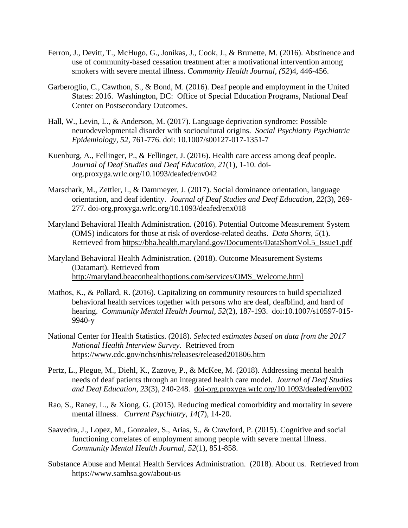- Ferron, J., Devitt, T., McHugo, G., Jonikas, J., Cook, J., & Brunette, M. (2016). Abstinence and use of community-based cessation treatment after a motivational intervention among smokers with severe mental illness. *Community Health Journal, (52*)4, 446-456.
- Garberoglio, C., Cawthon, S., & Bond, M. (2016). Deaf people and employment in the United States: 2016. Washington, DC: Office of Special Education Programs, National Deaf Center on Postsecondary Outcomes.
- Hall, W., Levin, L., & Anderson, M. (2017). Language deprivation syndrome: Possible neurodevelopmental disorder with sociocultural origins. *Social Psychiatry Psychiatric Epidemiology, 52,* 761-776. doi: 10.1007/s00127-017-1351-7
- Kuenburg, A., Fellinger, P., & Fellinger, J. (2016). Health care access among deaf people. *Journal of Deaf Studies and Deaf Education, 21*(1), 1-10. doiorg.proxyga.wrlc.org/10.1093/deafed/env042
- Marschark, M., Zettler, I., & Dammeyer, J. (2017). Social dominance orientation, language orientation, and deaf identity. *Journal of Deaf Studies and Deaf Education, 22*(3), 269- 277. doi-org.proxyga.wrlc.org/10.1093/deafed/enx018
- Maryland Behavioral Health Administration. (2016). Potential Outcome Measurement System (OMS) indicators for those at risk of overdose-related deaths. *Data Shorts, 5*(1). Retrieved from https://bha.health.maryland.gov/Documents/DataShortVol.5\_Issue1.pdf
- Maryland Behavioral Health Administration. (2018). Outcome Measurement Systems (Datamart). Retrieved from [http://maryland.beaconhealthoptions.com/services/OMS\\_Welcome.html](http://maryland.beaconhealthoptions.com/services/OMS_Welcome.html)
- Mathos, K., & Pollard, R. (2016). Capitalizing on community resources to build specialized behavioral health services together with persons who are deaf, deafblind, and hard of hearing. *Community Mental Health Journal, 52*(2), 187-193. doi:10.1007/s10597-015- 9940-y
- National Center for Health Statistics. (2018). *Selected estimates based on data from the 2017 National Health Interview Survey*. Retrieved from <https://www.cdc.gov/nchs/nhis/releases/released201806.htm>
- Pertz, L., Plegue, M., Diehl, K., Zazove, P., & McKee, M. (2018). Addressing mental health needs of deaf patients through an integrated health care model. *Journal of Deaf Studies and Deaf Education, 23*(3), 240-248. [doi-org.proxyga.wrlc.org/10.1093/deafed/eny002](https://doi-org.proxyga.wrlc.org/10.1093/deafed/eny002)
- Rao, S., Raney, L., & Xiong, G. (2015). Reducing medical comorbidity and mortality in severe mental illness. *Current Psychiatry, 14*(7), 14-20.
- Saavedra, J., Lopez, M., Gonzalez, S., Arias, S., & Crawford, P. (2015). Cognitive and social functioning correlates of employment among people with severe mental illness. *Community Mental Health Journal, 52*(1), 851-858.
- Substance Abuse and Mental Health Services Administration. (2018). About us. Retrieved from <https://www.samhsa.gov/about-us>